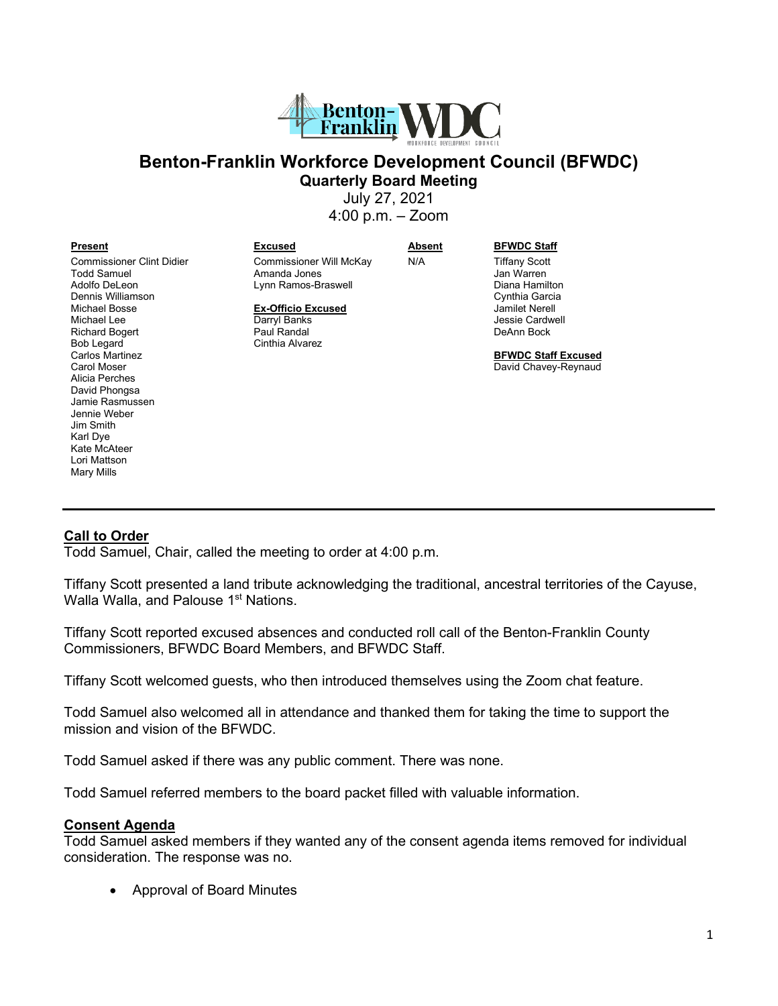

# **Benton-Franklin Workforce Development Council (BFWDC) Quarterly Board Meeting**

July 27, 2021

4:00 p.m. – Zoom

Commissioner Clint Didier Todd Samuel Adolfo DeLeon Dennis Williamson Michael Bosse Michael Lee Richard Bogert Bob Legard Carlos Martinez Carol Moser Alicia Perches David Phongsa Jamie Rasmussen Jennie Weber Jim Smith Karl Dye Kate McAteer Lori Mattson Mary Mills

#### **Present Excused Absent BFWDC Staff**

Commissioner Will McKay Amanda Jones Lynn Ramos-Braswell

**Ex-Officio Excused** Darryl Banks Paul Randal Cinthia Alvarez

N/A Tiffany Scott Jan Warren Diana Hamilton Cynthia Garcia Jamilet Nerell Jessie Cardwell

DeAnn Bock

**BFWDC Staff Excused** David Chavey-Reynaud

# **Call to Order**

Todd Samuel, Chair, called the meeting to order at 4:00 p.m.

Tiffany Scott presented a land tribute acknowledging the traditional, ancestral territories of the Cayuse, Walla Walla, and Palouse 1<sup>st</sup> Nations.

Tiffany Scott reported excused absences and conducted roll call of the Benton-Franklin County Commissioners, BFWDC Board Members, and BFWDC Staff.

Tiffany Scott welcomed guests, who then introduced themselves using the Zoom chat feature.

Todd Samuel also welcomed all in attendance and thanked them for taking the time to support the mission and vision of the BFWDC.

Todd Samuel asked if there was any public comment. There was none.

Todd Samuel referred members to the board packet filled with valuable information.

#### **Consent Agenda**

Todd Samuel asked members if they wanted any of the consent agenda items removed for individual consideration. The response was no.

• Approval of Board Minutes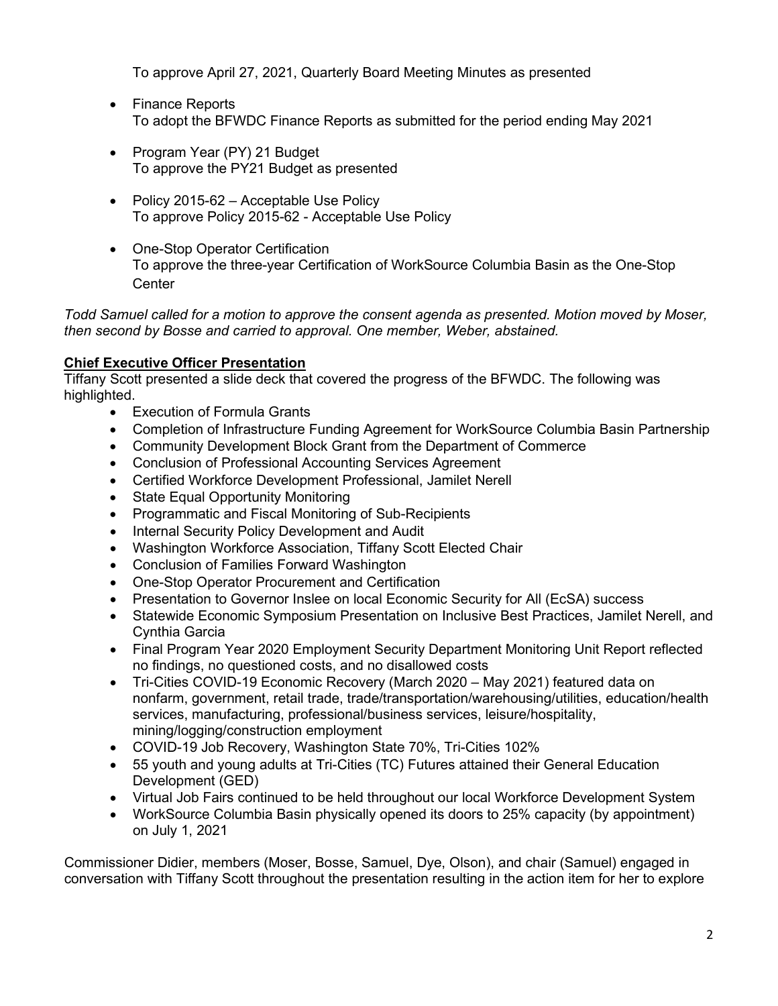To approve April 27, 2021, Quarterly Board Meeting Minutes as presented

- Finance Reports To adopt the BFWDC Finance Reports as submitted for the period ending May 2021
- Program Year (PY) 21 Budget To approve the PY21 Budget as presented
- Policy 2015-62 Acceptable Use Policy To approve Policy 2015-62 - Acceptable Use Policy
- One-Stop Operator Certification To approve the three-year Certification of WorkSource Columbia Basin as the One-Stop **Center**

*Todd Samuel called for a motion to approve the consent agenda as presented. Motion moved by Moser, then second by Bosse and carried to approval. One member, Weber, abstained.*

# **Chief Executive Officer Presentation**

Tiffany Scott presented a slide deck that covered the progress of the BFWDC. The following was highlighted.

- Execution of Formula Grants
- Completion of Infrastructure Funding Agreement for WorkSource Columbia Basin Partnership
- Community Development Block Grant from the Department of Commerce
- Conclusion of Professional Accounting Services Agreement
- Certified Workforce Development Professional, Jamilet Nerell
- State Equal Opportunity Monitoring
- Programmatic and Fiscal Monitoring of Sub-Recipients
- Internal Security Policy Development and Audit
- Washington Workforce Association, Tiffany Scott Elected Chair
- Conclusion of Families Forward Washington
- One-Stop Operator Procurement and Certification
- Presentation to Governor Inslee on local Economic Security for All (EcSA) success
- Statewide Economic Symposium Presentation on Inclusive Best Practices, Jamilet Nerell, and Cynthia Garcia
- Final Program Year 2020 Employment Security Department Monitoring Unit Report reflected no findings, no questioned costs, and no disallowed costs
- Tri-Cities COVID-19 Economic Recovery (March 2020 May 2021) featured data on nonfarm, government, retail trade, trade/transportation/warehousing/utilities, education/health services, manufacturing, professional/business services, leisure/hospitality, mining/logging/construction employment
- COVID-19 Job Recovery, Washington State 70%, Tri-Cities 102%
- 55 youth and young adults at Tri-Cities (TC) Futures attained their General Education Development (GED)
- Virtual Job Fairs continued to be held throughout our local Workforce Development System
- WorkSource Columbia Basin physically opened its doors to 25% capacity (by appointment) on July 1, 2021

Commissioner Didier, members (Moser, Bosse, Samuel, Dye, Olson), and chair (Samuel) engaged in conversation with Tiffany Scott throughout the presentation resulting in the action item for her to explore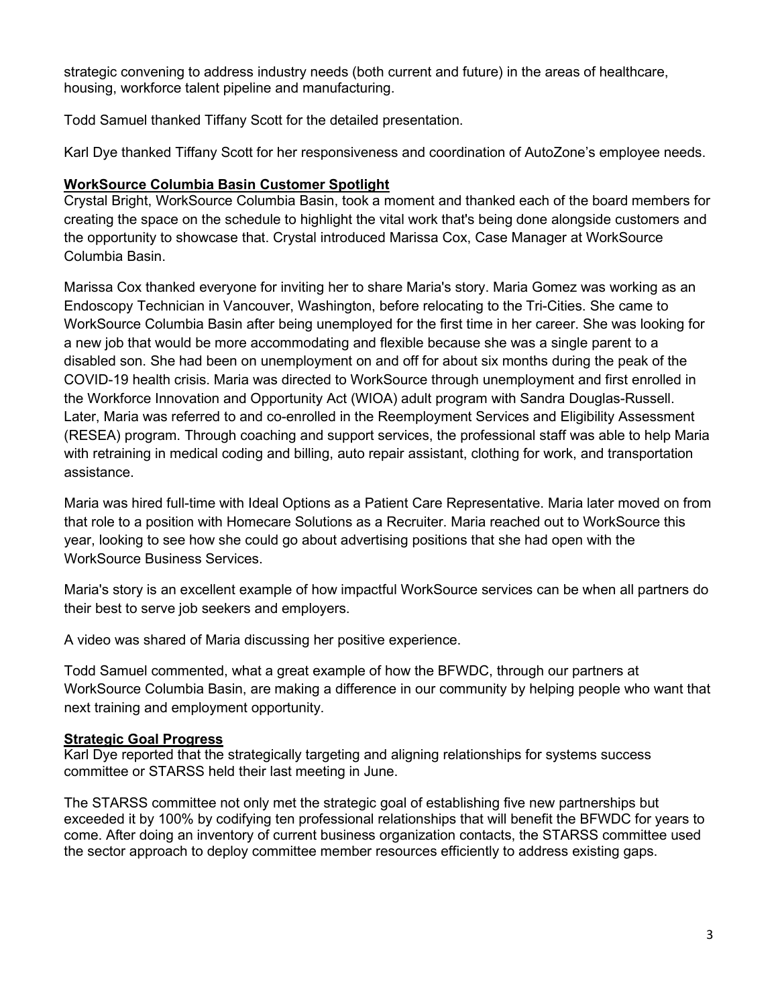strategic convening to address industry needs (both current and future) in the areas of healthcare, housing, workforce talent pipeline and manufacturing.

Todd Samuel thanked Tiffany Scott for the detailed presentation.

Karl Dye thanked Tiffany Scott for her responsiveness and coordination of AutoZone's employee needs.

# **WorkSource Columbia Basin Customer Spotlight**

Crystal Bright, WorkSource Columbia Basin, took a moment and thanked each of the board members for creating the space on the schedule to highlight the vital work that's being done alongside customers and the opportunity to showcase that. Crystal introduced Marissa Cox, Case Manager at WorkSource Columbia Basin.

Marissa Cox thanked everyone for inviting her to share Maria's story. Maria Gomez was working as an Endoscopy Technician in Vancouver, Washington, before relocating to the Tri-Cities. She came to WorkSource Columbia Basin after being unemployed for the first time in her career. She was looking for a new job that would be more accommodating and flexible because she was a single parent to a disabled son. She had been on unemployment on and off for about six months during the peak of the COVID-19 health crisis. Maria was directed to WorkSource through unemployment and first enrolled in the Workforce Innovation and Opportunity Act (WIOA) adult program with Sandra Douglas-Russell. Later, Maria was referred to and co-enrolled in the Reemployment Services and Eligibility Assessment (RESEA) program. Through coaching and support services, the professional staff was able to help Maria with retraining in medical coding and billing, auto repair assistant, clothing for work, and transportation assistance.

Maria was hired full-time with Ideal Options as a Patient Care Representative. Maria later moved on from that role to a position with Homecare Solutions as a Recruiter. Maria reached out to WorkSource this year, looking to see how she could go about advertising positions that she had open with the WorkSource Business Services.

Maria's story is an excellent example of how impactful WorkSource services can be when all partners do their best to serve job seekers and employers.

A video was shared of Maria discussing her positive experience.

Todd Samuel commented, what a great example of how the BFWDC, through our partners at WorkSource Columbia Basin, are making a difference in our community by helping people who want that next training and employment opportunity.

# **Strategic Goal Progress**

Karl Dye reported that the strategically targeting and aligning relationships for systems success committee or STARSS held their last meeting in June.

The STARSS committee not only met the strategic goal of establishing five new partnerships but exceeded it by 100% by codifying ten professional relationships that will benefit the BFWDC for years to come. After doing an inventory of current business organization contacts, the STARSS committee used the sector approach to deploy committee member resources efficiently to address existing gaps.